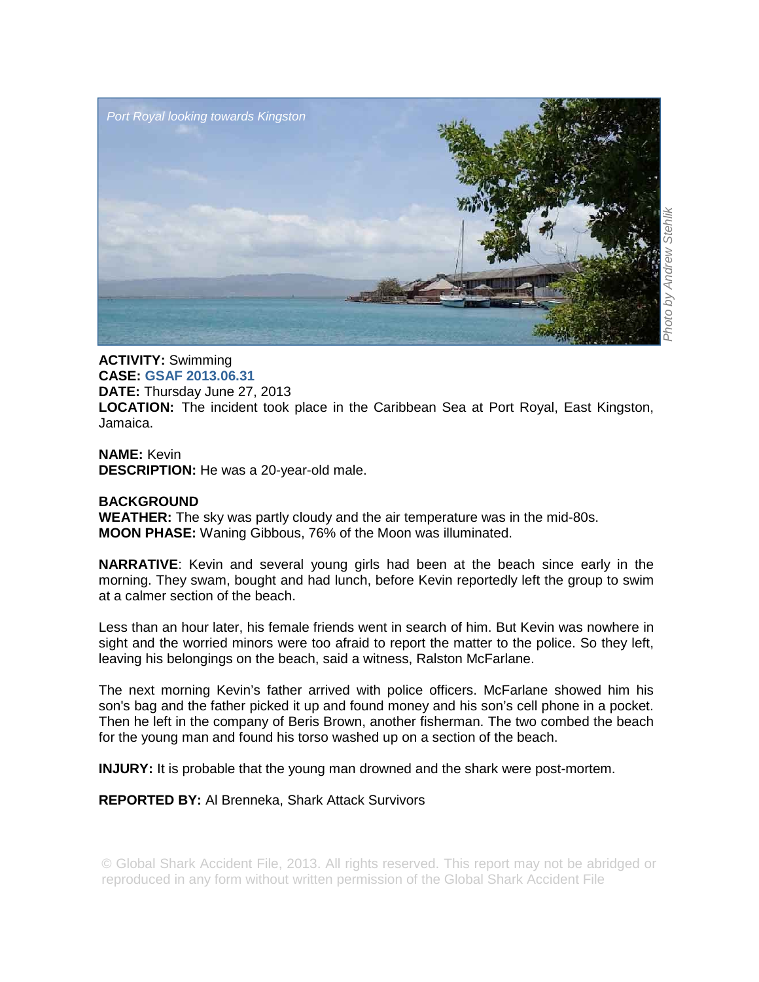

## **ACTIVITY:** Swimming **CASE: GSAF 2013.06.31 DATE:** Thursday June 27, 2013 **LOCATION:** The incident took place in the Caribbean Sea at Port Royal, East Kingston, Jamaica.

**NAME:** Kevin **DESCRIPTION:** He was a 20-year-old male.

## **BACKGROUND**

**WEATHER:** The sky was partly cloudy and the air temperature was in the mid-80s. **MOON PHASE:** Waning Gibbous, 76% of the Moon was illuminated.

**NARRATIVE**: Kevin and several young girls had been at the beach since early in the morning. They swam, bought and had lunch, before Kevin reportedly left the group to swim at a calmer section of the beach.

Less than an hour later, his female friends went in search of him. But Kevin was nowhere in sight and the worried minors were too afraid to report the matter to the police. So they left, leaving his belongings on the beach, said a witness, Ralston McFarlane.

The next morning Kevin's father arrived with police officers. McFarlane showed him his son's bag and the father picked it up and found money and his son's cell phone in a pocket. Then he left in the company of Beris Brown, another fisherman. The two combed the beach for the young man and found his torso washed up on a section of the beach.

**INJURY:** It is probable that the young man drowned and the shark were post-mortem.

## **REPORTED BY:** Al Brenneka, Shark Attack Survivors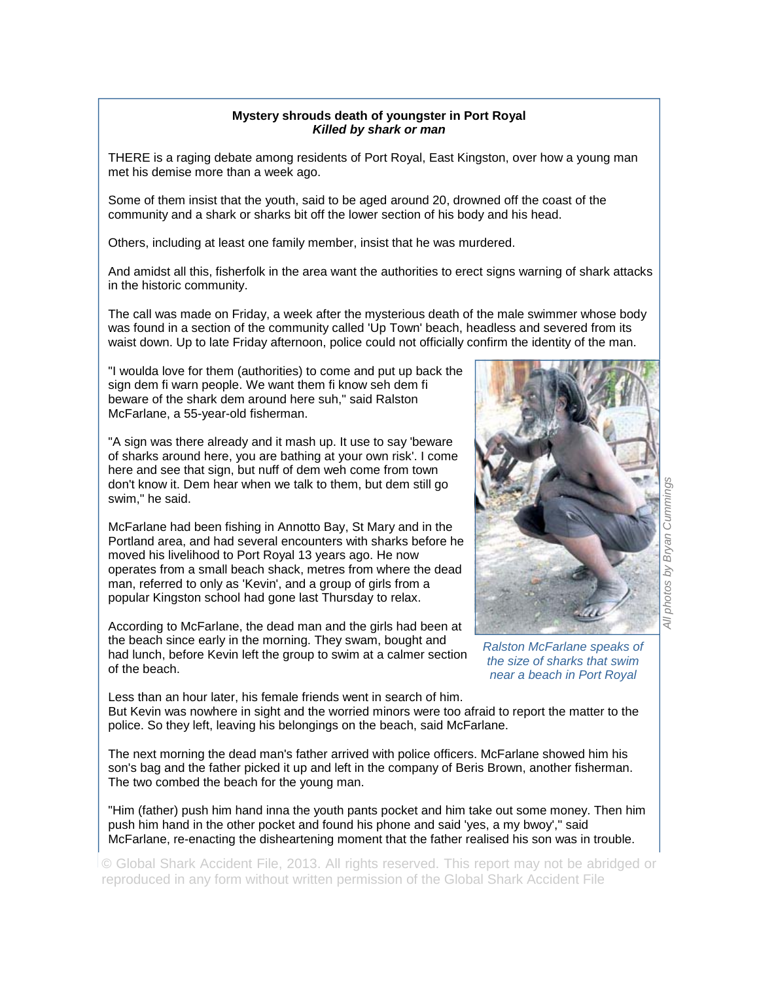## **Mystery shrouds death of youngster in Port Royal**  *Killed by shark or man*

THERE is a raging debate among residents of Port Royal, East Kingston, over how a young man met his demise more than a week ago.

Some of them insist that the youth, said to be aged around 20, drowned off the coast of the community and a shark or sharks bit off the lower section of his body and his head.

Others, including at least one family member, insist that he was murdered.

And amidst all this, fisherfolk in the area want the authorities to erect signs warning of shark attacks in the historic community.

The call was made on Friday, a week after the mysterious death of the male swimmer whose body was found in a section of the community called 'Up Town' beach, headless and severed from its waist down. Up to late Friday afternoon, police could not officially confirm the identity of the man.

"I woulda love for them (authorities) to come and put up back the sign dem fi warn people. We want them fi know seh dem fi beware of the shark dem around here suh," said Ralston McFarlane, a 55-year-old fisherman.

"A sign was there already and it mash up. It use to say 'beware of sharks around here, you are bathing at your own risk'. I come here and see that sign, but nuff of dem weh come from town don't know it. Dem hear when we talk to them, but dem still go swim," he said.

McFarlane had been fishing in Annotto Bay, St Mary and in the Portland area, and had several encounters with sharks before he moved his livelihood to Port Royal 13 years ago. He now operates from a small beach shack, metres from where the dead man, referred to only as 'Kevin', and a group of girls from a popular Kingston school had gone last Thursday to relax.

According to McFarlane, the dead man and the girls had been at the beach since early in the morning. They swam, bought and had lunch, before Kevin left the group to swim at a calmer section of the beach.



*Ralston McFarlane speaks of the size of sharks that swim near a beach in Port Royal* 

Less than an hour later, his female friends went in search of him. But Kevin was nowhere in sight and the worried minors were too afraid to report the matter to the police. So they left, leaving his belongings on the beach, said McFarlane.

The next morning the dead man's father arrived with police officers. McFarlane showed him his son's bag and the father picked it up and left in the company of Beris Brown, another fisherman. The two combed the beach for the young man.

"Him (father) push him hand inna the youth pants pocket and him take out some money. Then him push him hand in the other pocket and found his phone and said 'yes, a my bwoy'," said McFarlane, re-enacting the disheartening moment that the father realised his son was in trouble.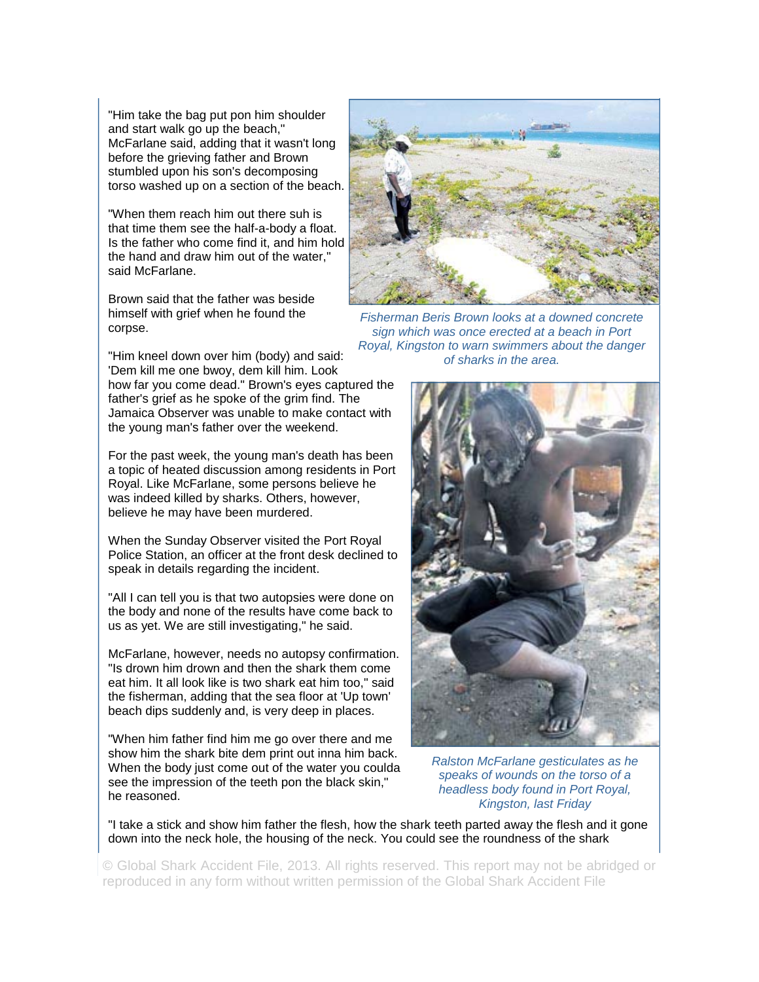"Him take the bag put pon him shoulder and start walk go up the beach," McFarlane said, adding that it wasn't long before the grieving father and Brown stumbled upon his son's decomposing torso washed up on a section of the beach.

"When them reach him out there suh is that time them see the half-a-body a float. Is the father who come find it, and him hold the hand and draw him out of the water," said McFarlane.

Brown said that the father was beside himself with grief when he found the corpse.

"Him kneel down over him (body) and said: 'Dem kill me one bwoy, dem kill him. Look how far you come dead." Brown's eyes captured the father's grief as he spoke of the grim find. The Jamaica Observer was unable to make contact with the young man's father over the weekend.

For the past week, the young man's death has been a topic of heated discussion among residents in Port Royal. Like McFarlane, some persons believe he was indeed killed by sharks. Others, however, believe he may have been murdered.

When the Sunday Observer visited the Port Royal Police Station, an officer at the front desk declined to speak in details regarding the incident.

"All I can tell you is that two autopsies were done on the body and none of the results have come back to us as yet. We are still investigating," he said.

McFarlane, however, needs no autopsy confirmation. "Is drown him drown and then the shark them come eat him. It all look like is two shark eat him too," said the fisherman, adding that the sea floor at 'Up town' beach dips suddenly and, is very deep in places.

"When him father find him me go over there and me show him the shark bite dem print out inna him back. When the body just come out of the water you coulda see the impression of the teeth pon the black skin," he reasoned.



*Fisherman Beris Brown looks at a downed concrete sign which was once erected at a beach in Port Royal, Kingston to warn swimmers about the danger of sharks in the area.* 



*Ralston McFarlane gesticulates as he speaks of wounds on the torso of a headless body found in Port Royal, Kingston, last Friday* 

"I take a stick and show him father the flesh, how the shark teeth parted away the flesh and it gone down into the neck hole, the housing of the neck. You could see the roundness of the shark